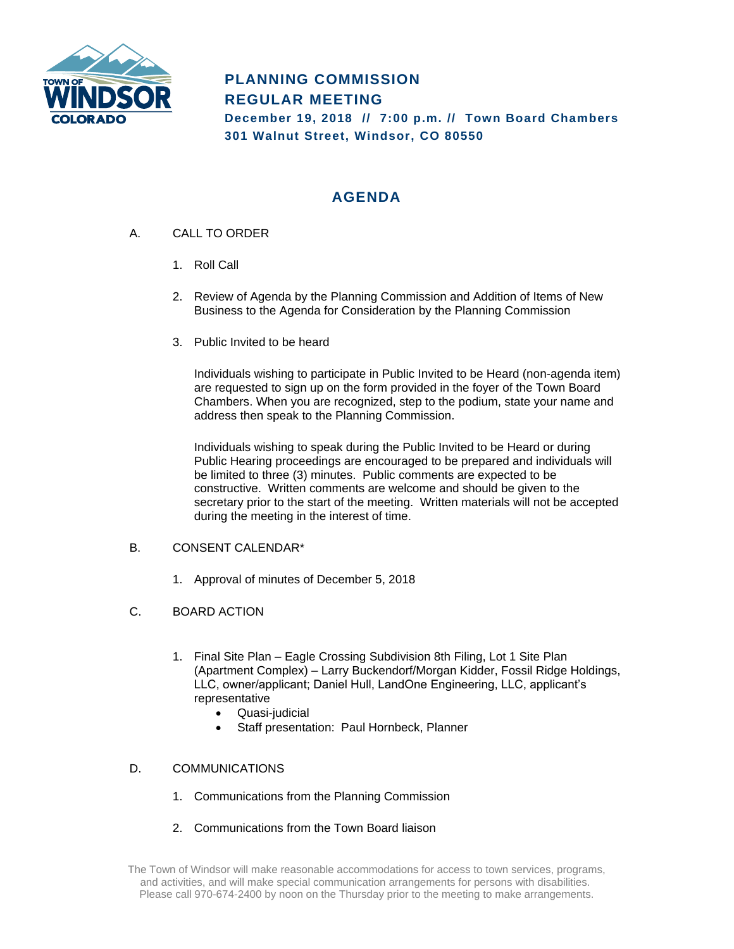

# **PLANNING COMMISSION REGULAR MEETING**

**December 19, 2018 // 7:00 p.m. // Town Board Chambers 301 Walnut Street, Windsor, CO 80550**

# **AGENDA**

- A. CALL TO ORDER
	- 1. Roll Call
	- 2. Review of Agenda by the Planning Commission and Addition of Items of New Business to the Agenda for Consideration by the Planning Commission
	- 3. Public Invited to be heard

Individuals wishing to participate in Public Invited to be Heard (non-agenda item) are requested to sign up on the form provided in the foyer of the Town Board Chambers. When you are recognized, step to the podium, state your name and address then speak to the Planning Commission.

Individuals wishing to speak during the Public Invited to be Heard or during Public Hearing proceedings are encouraged to be prepared and individuals will be limited to three (3) minutes. Public comments are expected to be constructive. Written comments are welcome and should be given to the secretary prior to the start of the meeting. Written materials will not be accepted during the meeting in the interest of time.

#### B. CONSENT CALENDAR\*

- 1. Approval of minutes of December 5, 2018
- C. BOARD ACTION
	- 1. Final Site Plan Eagle Crossing Subdivision 8th Filing, Lot 1 Site Plan (Apartment Complex) – Larry Buckendorf/Morgan Kidder, Fossil Ridge Holdings, LLC, owner/applicant; Daniel Hull, LandOne Engineering, LLC, applicant's representative
		- Quasi-judicial
		- Staff presentation: Paul Hornbeck, Planner

#### D. COMMUNICATIONS

- 1. Communications from the Planning Commission
- 2. Communications from the Town Board liaison

The Town of Windsor will make reasonable accommodations for access to town services, programs, and activities, and will make special communication arrangements for persons with disabilities. Please call 970-674-2400 by noon on the Thursday prior to the meeting to make arrangements.